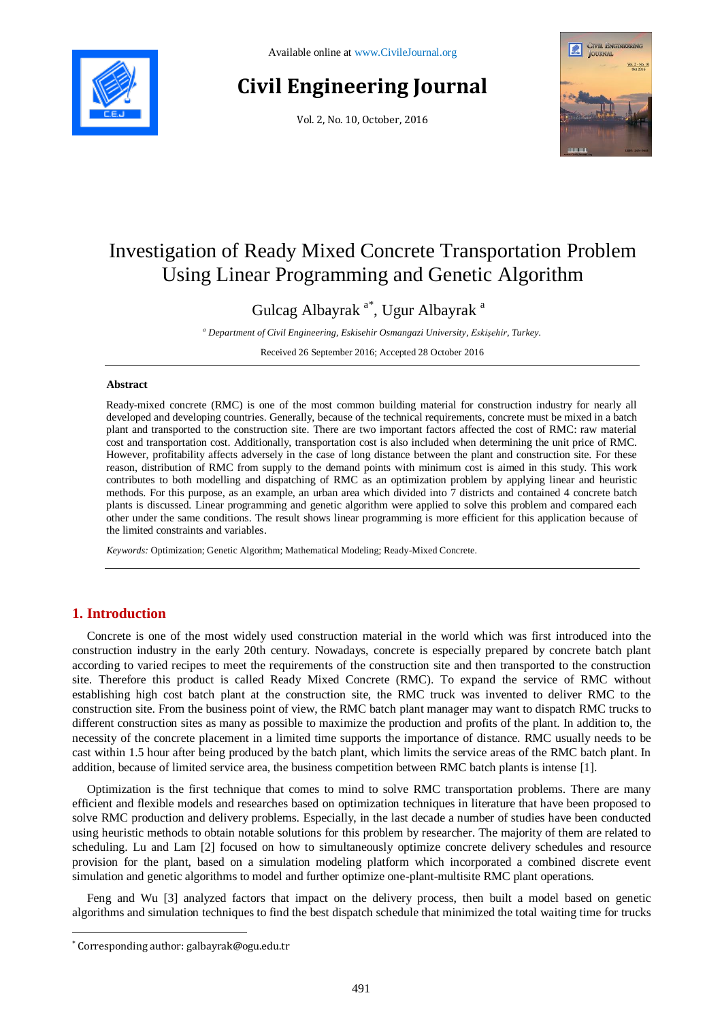

# **Civil Engineering Journal**

Vol. 2, No. 10, October, 2016



## Investigation of Ready Mixed Concrete Transportation Problem Using Linear Programming and Genetic Algorithm

Gulcag Albayrak <sup>a\*</sup>, Ugur Albayrak <sup>a</sup>

*<sup>a</sup> Department of Civil Engineering, Eskisehir Osmangazi University, Eskişehir, Turkey.*

Received 26 September 2016; Accepted 28 October 2016

#### **Abstract**

Ready-mixed concrete (RMC) is one of the most common building material for construction industry for nearly all developed and developing countries. Generally, because of the technical requirements, concrete must be mixed in a batch plant and transported to the construction site. There are two important factors affected the cost of RMC: raw material cost and transportation cost. Additionally, transportation cost is also included when determining the unit price of RMC. However, profitability affects adversely in the case of long distance between the plant and construction site. For these reason, distribution of RMC from supply to the demand points with minimum cost is aimed in this study. This work contributes to both modelling and dispatching of RMC as an optimization problem by applying linear and heuristic methods. For this purpose, as an example, an urban area which divided into 7 districts and contained 4 concrete batch plants is discussed. Linear programming and genetic algorithm were applied to solve this problem and compared each other under the same conditions. The result shows linear programming is more efficient for this application because of the limited constraints and variables.

*Keywords:* Optimization; Genetic Algorithm; Mathematical Modeling; Ready-Mixed Concrete.

### **1. Introduction**

l

Concrete is one of the most widely used construction material in the world which was first introduced into the construction industry in the early 20th century. Nowadays, concrete is especially prepared by concrete batch plant according to varied recipes to meet the requirements of the construction site and then transported to the construction site. Therefore this product is called Ready Mixed Concrete (RMC). To expand the service of RMC without establishing high cost batch plant at the construction site, the RMC truck was invented to deliver RMC to the construction site. From the business point of view, the RMC batch plant manager may want to dispatch RMC trucks to different construction sites as many as possible to maximize the production and profits of the plant. In addition to, the necessity of the concrete placement in a limited time supports the importance of distance. RMC usually needs to be cast within 1.5 hour after being produced by the batch plant, which limits the service areas of the RMC batch plant. In addition, because of limited service area, the business competition between RMC batch plants is intense [1].

Optimization is the first technique that comes to mind to solve RMC transportation problems. There are many efficient and flexible models and researches based on optimization techniques in literature that have been proposed to solve RMC production and delivery problems. Especially, in the last decade a number of studies have been conducted using heuristic methods to obtain notable solutions for this problem by researcher. The majority of them are related to scheduling. Lu and Lam [2] focused on how to simultaneously optimize concrete delivery schedules and resource provision for the plant, based on a simulation modeling platform which incorporated a combined discrete event simulation and genetic algorithms to model and further optimize one-plant-multisite RMC plant operations.

Feng and Wu [3] analyzed factors that impact on the delivery process, then built a model based on genetic algorithms and simulation techniques to find the best dispatch schedule that minimized the total waiting time for trucks

<sup>\*</sup> Corresponding author: galbayrak@ogu.edu.tr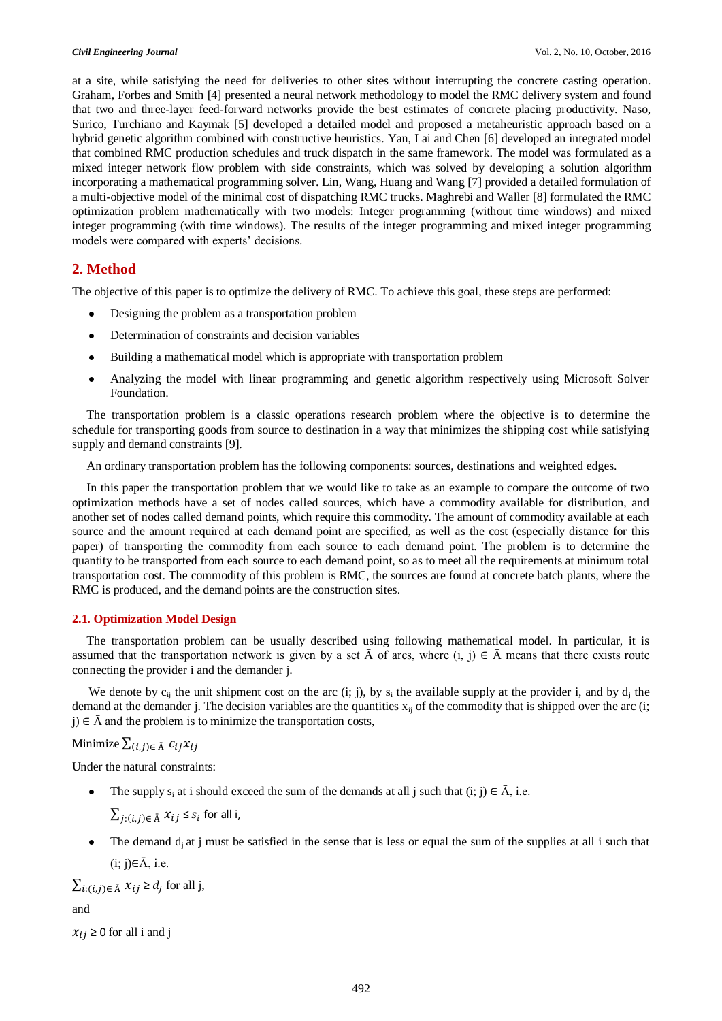at a site, while satisfying the need for deliveries to other sites without interrupting the concrete casting operation. Graham, Forbes and Smith [4] presented a neural network methodology to model the RMC delivery system and found that two and three-layer feed-forward networks provide the best estimates of concrete placing productivity. Naso, Surico, Turchiano and Kaymak [5] developed a detailed model and proposed a metaheuristic approach based on a hybrid genetic algorithm combined with constructive heuristics. Yan, Lai and Chen [6] developed an integrated model that combined RMC production schedules and truck dispatch in the same framework. The model was formulated as a mixed integer network flow problem with side constraints, which was solved by developing a solution algorithm incorporating a mathematical programming solver. Lin, Wang, Huang and Wang [7] provided a detailed formulation of a multi-objective model of the minimal cost of dispatching RMC trucks. Maghrebi and Waller [8] formulated the RMC optimization problem mathematically with two models: Integer programming (without time windows) and mixed integer programming (with time windows). The results of the integer programming and mixed integer programming models were compared with experts' decisions.

#### **2. Method**

The objective of this paper is to optimize the delivery of RMC. To achieve this goal, these steps are performed:

- Designing the problem as a transportation problem
- Determination of constraints and decision variables
- Building a mathematical model which is appropriate with transportation problem
- Analyzing the model with linear programming and genetic algorithm respectively using Microsoft Solver Foundation.

The transportation problem is a classic operations research problem where the objective is to determine the schedule for transporting goods from source to destination in a way that minimizes the shipping cost while satisfying supply and demand constraints [9].

An ordinary transportation problem has the following components: sources, destinations and weighted edges.

In this paper the transportation problem that we would like to take as an example to compare the outcome of two optimization methods have a set of nodes called sources, which have a commodity available for distribution, and another set of nodes called demand points, which require this commodity. The amount of commodity available at each source and the amount required at each demand point are specified, as well as the cost (especially distance for this paper) of transporting the commodity from each source to each demand point. The problem is to determine the quantity to be transported from each source to each demand point, so as to meet all the requirements at minimum total transportation cost. The commodity of this problem is RMC, the sources are found at concrete batch plants, where the RMC is produced, and the demand points are the construction sites.

#### **2.1. Optimization Model Design**

The transportation problem can be usually described using following mathematical model. In particular, it is assumed that the transportation network is given by a set  $\bar{A}$  of arcs, where  $(i, j) \in \bar{A}$  means that there exists route connecting the provider i and the demander j.

We denote by  $c_{ij}$  the unit shipment cost on the arc (i; j), by  $s_i$  the available supply at the provider i, and by  $d_j$  the demand at the demander j. The decision variables are the quantities  $x_{ii}$  of the commodity that is shipped over the arc (i;  $j \in \overline{A}$  and the problem is to minimize the transportation costs,

Minimize  $\sum_{(i,j)\in \bar{A}} c_{ij}x_{ij}$ 

Under the natural constraints:

The supply  $s_i$  at i should exceed the sum of the demands at all j such that (i; j)  $\in \overline{A}$ , i.e.

 $\sum_{j:(i,j)\in \bar{A}} x_{ij} \leq s_i$  for all i,

The demand  $d_i$  at j must be satisfied in the sense that is less or equal the sum of the supplies at all i such that  $(i; j) \in \overline{A}$ , i.e.

 $\sum_{i:(i,j)\in \bar{A}} x_{ij} \ge d_j$  for all j,

and

 $x_{ij} \geq 0$  for all i and j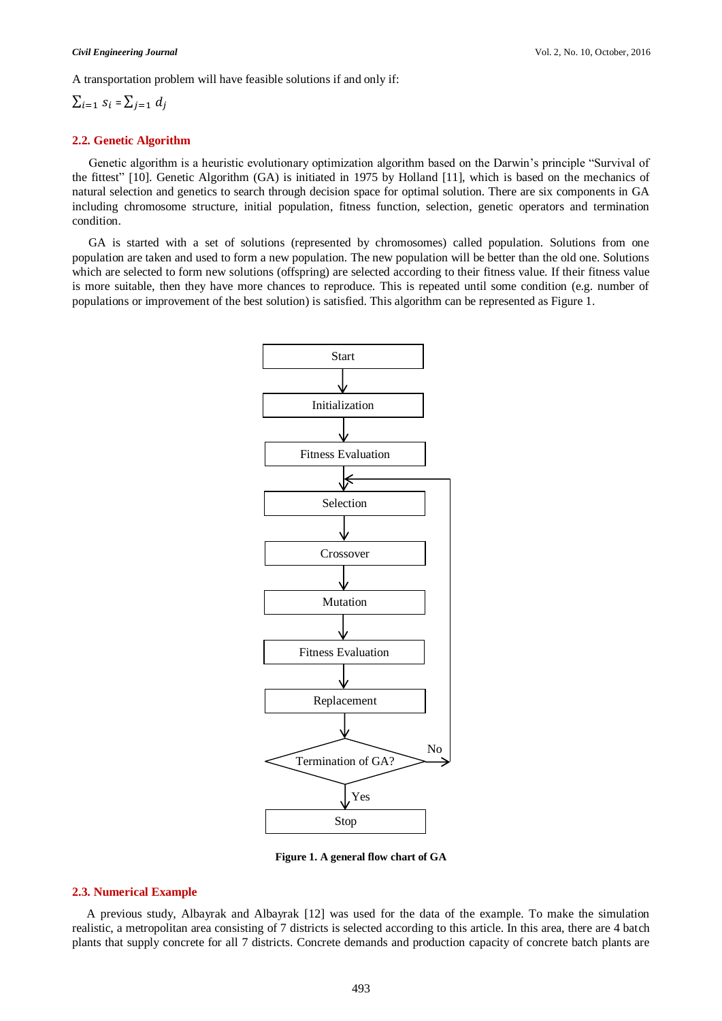A transportation problem will have feasible solutions if and only if:

$$
\sum_{i=1} s_i = \sum_{j=1} d_j
$$

#### **2.2. Genetic Algorithm**

Genetic algorithm is a heuristic evolutionary optimization algorithm based on the Darwin's principle "Survival of the fittest" [10]. Genetic Algorithm (GA) is initiated in 1975 by Holland [11], which is based on the mechanics of natural selection and genetics to search through decision space for optimal solution. There are six components in GA including chromosome structure, initial population, fitness function, selection, genetic operators and termination condition.

GA is started with a set of solutions (represented by chromosomes) called population. Solutions from one population are taken and used to form a new population. The new population will be better than the old one. Solutions which are selected to form new solutions (offspring) are selected according to their fitness value. If their fitness value is more suitable, then they have more chances to reproduce. This is repeated until some condition (e.g. number of populations or improvement of the best solution) is satisfied. This algorithm can be represented as Figure 1.



**Figure 1. A general flow chart of GA**

#### **2.3. Numerical Example**

A previous study, Albayrak and Albayrak [12] was used for the data of the example. To make the simulation realistic, a metropolitan area consisting of 7 districts is selected according to this article. In this area, there are 4 batch plants that supply concrete for all 7 districts. Concrete demands and production capacity of concrete batch plants are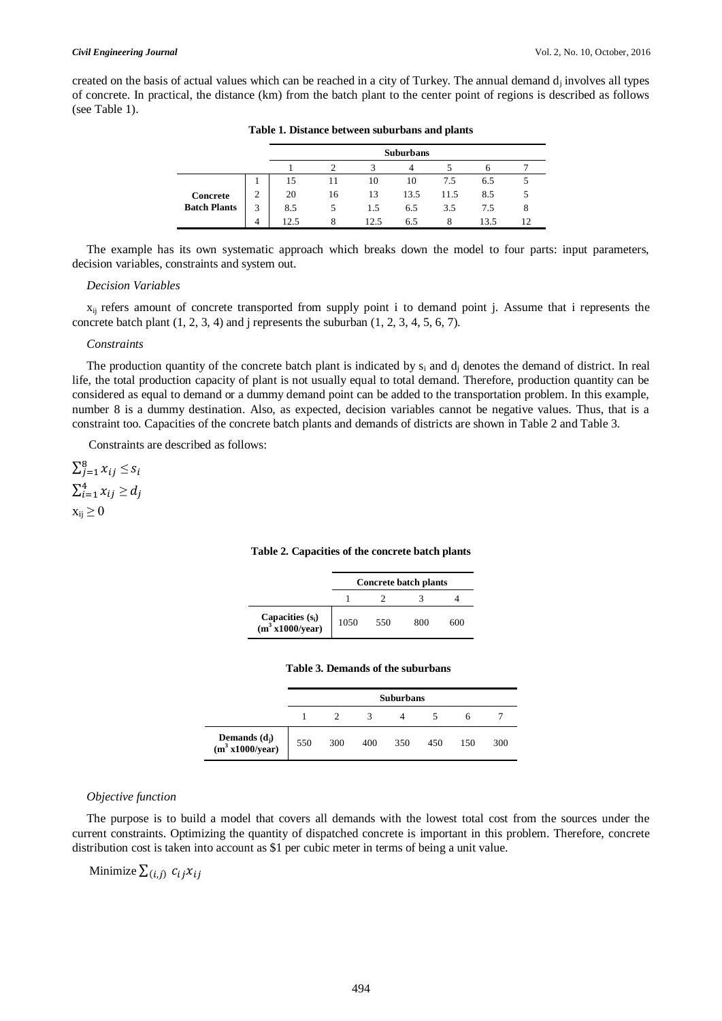created on the basis of actual values which can be reached in a city of Turkey. The annual demand  $d_j$  involves all types of concrete. In practical, the distance (km) from the batch plant to the center point of regions is described as follows (see Table 1).

|                                 |                    | <b>Suburbans</b> |    |      |      |      |      |   |  |  |  |
|---------------------------------|--------------------|------------------|----|------|------|------|------|---|--|--|--|
|                                 |                    |                  |    |      |      |      |      |   |  |  |  |
| Concrete<br><b>Batch Plants</b> |                    | 15               |    | 10   | 10   | 7.5  | 6.5  |   |  |  |  |
|                                 | $\mathcal{L}$<br>∠ | 20               | 16 | 13   | 13.5 | 11.5 | 8.5  |   |  |  |  |
|                                 | 3                  | 8.5              |    | 1.5  | 6.5  | 3.5  | 7.5  | 8 |  |  |  |
|                                 | 4                  | 12.5             |    | 12.5 | 6.5  |      | 13.5 |   |  |  |  |

**Table 1. Distance between suburbans and plants**

The example has its own systematic approach which breaks down the model to four parts: input parameters, decision variables, constraints and system out.

#### *Decision Variables*

 $x_{ij}$  refers amount of concrete transported from supply point i to demand point j. Assume that i represents the concrete batch plant  $(1, 2, 3, 4)$  and j represents the suburban  $(1, 2, 3, 4, 5, 6, 7)$ .

#### *Constraints*

The production quantity of the concrete batch plant is indicated by  $s_i$  and  $d_i$  denotes the demand of district. In real life, the total production capacity of plant is not usually equal to total demand. Therefore, production quantity can be considered as equal to demand or a dummy demand point can be added to the transportation problem. In this example, number 8 is a dummy destination. Also, as expected, decision variables cannot be negative values. Thus, that is a constraint too. Capacities of the concrete batch plants and demands of districts are shown in Table 2 and Table 3.

Constraints are described as follows:

 $\sum_{j=1}^{8} x_{ij} \leq$  $\sum_{i=1}^{4} x_{ij} \geq$  $x_{ii} \geq 0$ 

#### **Table 2. Capacities of the concrete batch plants**

|                                                   | <b>Concrete batch plants</b> |     |     |     |  |  |  |
|---------------------------------------------------|------------------------------|-----|-----|-----|--|--|--|
|                                                   |                              |     |     |     |  |  |  |
| Capacities $(s_i)$<br>(m <sup>3</sup> x1000/year) | 1050                         | 550 | 800 | 600 |  |  |  |

#### **Table 3. Demands of the suburbans**

|                                                | <b>Suburbans</b> |     |     |     |     |     |     |  |
|------------------------------------------------|------------------|-----|-----|-----|-----|-----|-----|--|
|                                                |                  |     |     |     |     | h   |     |  |
| Demands $(d_j)$<br>(m <sup>3</sup> x1000/year) | 550              | 300 | 400 | 350 | 450 | 150 | 300 |  |

#### *Objective function*

The purpose is to build a model that covers all demands with the lowest total cost from the sources under the current constraints. Optimizing the quantity of dispatched concrete is important in this problem. Therefore, concrete distribution cost is taken into account as \$1 per cubic meter in terms of being a unit value.

Minimize  $\sum_{(i,j)} c_{ij} x_{ij}$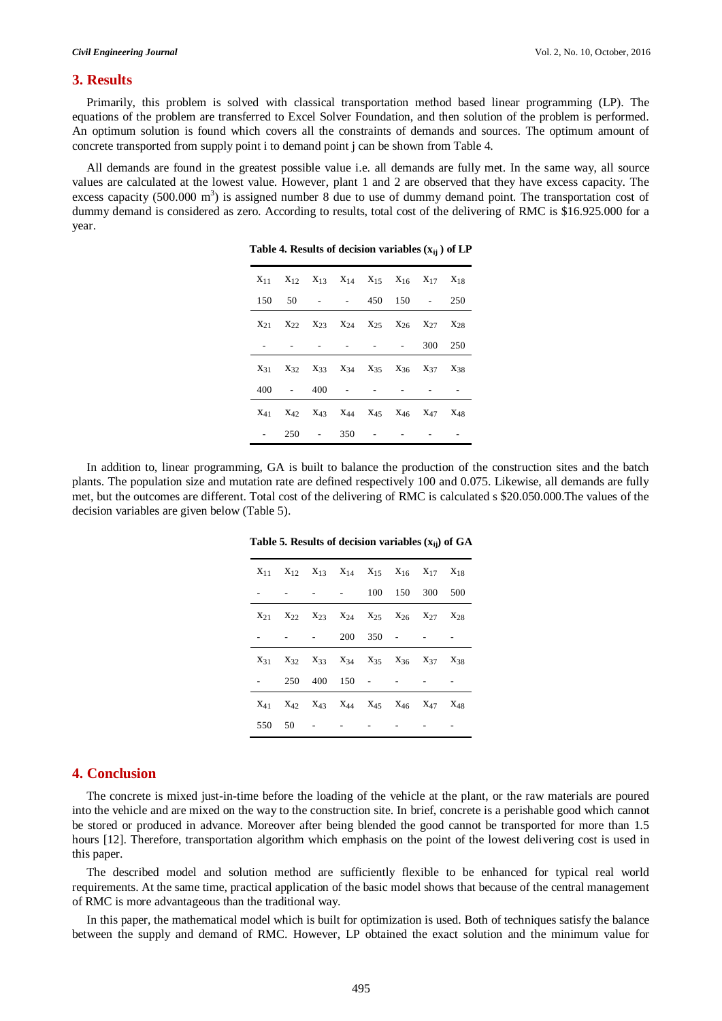#### **3. Results**

Primarily, this problem is solved with classical transportation method based linear programming (LP). The equations of the problem are transferred to Excel Solver Foundation, and then solution of the problem is performed. An optimum solution is found which covers all the constraints of demands and sources. The optimum amount of concrete transported from supply point i to demand point j can be shown from Table 4.

All demands are found in the greatest possible value i.e. all demands are fully met. In the same way, all source values are calculated at the lowest value. However, plant 1 and 2 are observed that they have excess capacity. The excess capacity (500.000  $m<sup>3</sup>$ ) is assigned number 8 due to use of dummy demand point. The transportation cost of dummy demand is considered as zero. According to results, total cost of the delivering of RMC is \$16.925.000 for a year.

|  | $X_{11}$ $X_{12}$ $X_{13}$ $X_{14}$ $X_{15}$ $X_{16}$ $X_{17}$ $X_{18}$                                                         |  |                                   |         |  |
|--|---------------------------------------------------------------------------------------------------------------------------------|--|-----------------------------------|---------|--|
|  | 150 50 - - 450 150 - 250                                                                                                        |  |                                   |         |  |
|  | $X_{21}$ $X_{22}$ $X_{23}$ $X_{24}$ $X_{25}$ $X_{26}$ $X_{27}$ $X_{28}$                                                         |  |                                   |         |  |
|  |                                                                                                                                 |  | and the state of the state of the | 300 250 |  |
|  | X <sub>31</sub> X <sub>32</sub> X <sub>33</sub> X <sub>34</sub> X <sub>35</sub> X <sub>36</sub> X <sub>37</sub> X <sub>38</sub> |  |                                   |         |  |
|  | $400 - 400 - -$                                                                                                                 |  |                                   |         |  |
|  | $X_{41}$ $X_{42}$ $X_{43}$ $X_{44}$ $X_{45}$ $X_{46}$ $X_{47}$ $X_{48}$                                                         |  |                                   |         |  |
|  | $250 - 350 -$                                                                                                                   |  |                                   |         |  |

**Table 4. Results of decision variables (xij ) of LP**

In addition to, linear programming, GA is built to balance the production of the construction sites and the batch plants. The population size and mutation rate are defined respectively 100 and 0.075. Likewise, all demands are fully met, but the outcomes are different. Total cost of the delivering of RMC is calculated s \$20.050.000.The values of the decision variables are given below (Table 5).

|  |  |  |  | Table 5. Results of decision variables (x <sub>ij</sub> ) of GA |  |  |  |
|--|--|--|--|-----------------------------------------------------------------|--|--|--|
|--|--|--|--|-----------------------------------------------------------------|--|--|--|

| $X_{11}$ $X_{12}$ $X_{13}$ $X_{14}$ $X_{15}$ $X_{16}$ $X_{17}$ $X_{18}$ |          |                                                                                                                                 |  |  |
|-------------------------------------------------------------------------|----------|---------------------------------------------------------------------------------------------------------------------------------|--|--|
|                                                                         |          | $  100$ $150$ $300$ $500$                                                                                                       |  |  |
| $X_{21}$ $X_{22}$ $X_{23}$ $X_{24}$ $X_{25}$ $X_{26}$ $X_{27}$ $X_{28}$ |          |                                                                                                                                 |  |  |
|                                                                         |          | $-200$ 350 $ -$                                                                                                                 |  |  |
|                                                                         |          | $X_{31}$ $X_{32}$ $X_{33}$ $X_{34}$ $X_{35}$ $X_{36}$ $X_{37}$ $X_{38}$                                                         |  |  |
|                                                                         |          | 250 400 150 - - -                                                                                                               |  |  |
|                                                                         |          | X <sub>41</sub> X <sub>42</sub> X <sub>43</sub> X <sub>44</sub> X <sub>45</sub> X <sub>46</sub> X <sub>47</sub> X <sub>48</sub> |  |  |
|                                                                         | 550 50 - |                                                                                                                                 |  |  |

#### **4. Conclusion**

The concrete is mixed just-in-time before the loading of the vehicle at the plant, or the raw materials are poured into the vehicle and are mixed on the way to the construction site. In brief, concrete is a perishable good which cannot be stored or produced in advance. Moreover after being blended the good cannot be transported for more than 1.5 hours [12]. Therefore, transportation algorithm which emphasis on the point of the lowest delivering cost is used in this paper.

The described model and solution method are sufficiently flexible to be enhanced for typical real world requirements. At the same time, practical application of the basic model shows that because of the central management of RMC is more advantageous than the traditional way.

In this paper, the mathematical model which is built for optimization is used. Both of techniques satisfy the balance between the supply and demand of RMC. However, LP obtained the exact solution and the minimum value for